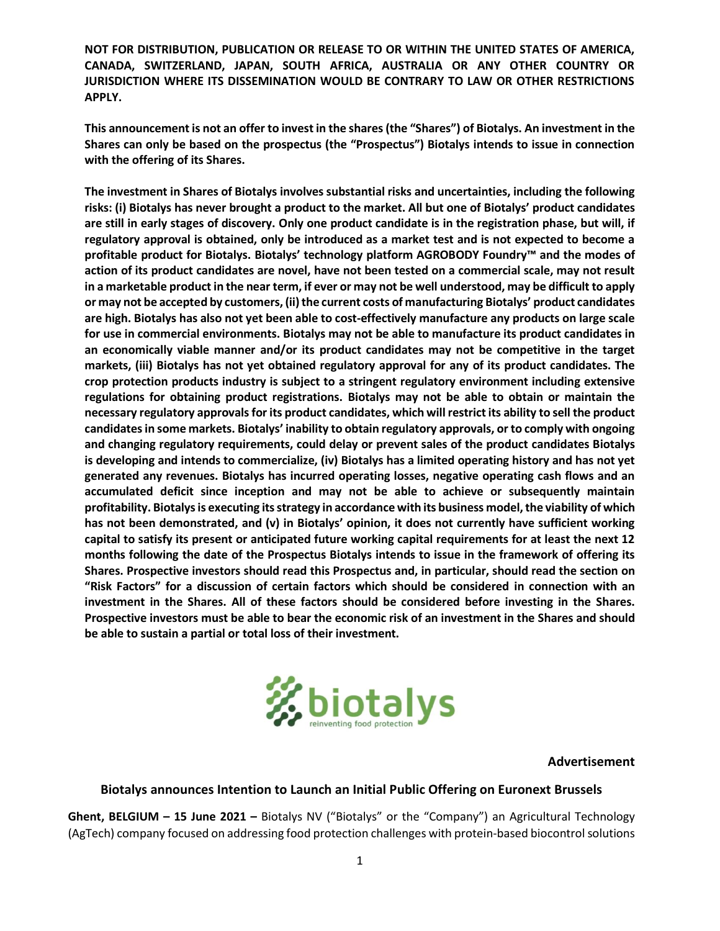**This announcement is not an offer to invest in the shares (the "Shares") of Biotalys. An investment in the Shares can only be based on the prospectus (the "Prospectus") Biotalys intends to issue in connection with the offering of its Shares.**

**The investment in Shares of Biotalys involves substantial risks and uncertainties, including the following risks: (i) Biotalys has never brought a product to the market. All but one of Biotalys' product candidates are still in early stages of discovery. Only one product candidate is in the registration phase, but will, if regulatory approval is obtained, only be introduced as a market test and is not expected to become a profitable product for Biotalys. Biotalys' technology platform AGROBODY Foundry™ and the modes of action of its product candidates are novel, have not been tested on a commercial scale, may not result in a marketable product in the near term, if ever or may not be well understood, may be difficult to apply or may not be accepted by customers, (ii) the current costs of manufacturing Biotalys' product candidates are high. Biotalys has also not yet been able to cost-effectively manufacture any products on large scale for use in commercial environments. Biotalys may not be able to manufacture its product candidates in an economically viable manner and/or its product candidates may not be competitive in the target markets, (iii) Biotalys has not yet obtained regulatory approval for any of its product candidates. The crop protection products industry is subject to a stringent regulatory environment including extensive regulations for obtaining product registrations. Biotalys may not be able to obtain or maintain the necessary regulatory approvals for its product candidates, which will restrict its ability to sell the product candidates in some markets. Biotalys' inability to obtain regulatory approvals, or to comply with ongoing and changing regulatory requirements, could delay or prevent sales of the product candidates Biotalys is developing and intends to commercialize, (iv) Biotalys has a limited operating history and has not yet generated any revenues. Biotalys has incurred operating losses, negative operating cash flows and an accumulated deficit since inception and may not be able to achieve or subsequently maintain profitability. Biotalysis executing its strategy in accordance with its business model, the viability of which has not been demonstrated, and (v) in Biotalys' opinion, it does not currently have sufficient working capital to satisfy its present or anticipated future working capital requirements for at least the next 12 months following the date of the Prospectus Biotalys intends to issue in the framework of offering its Shares. Prospective investors should read this Prospectus and, in particular, should read the section on "Risk Factors" for a discussion of certain factors which should be considered in connection with an investment in the Shares. All of these factors should be considered before investing in the Shares. Prospective investors must be able to bear the economic risk of an investment in the Shares and should be able to sustain a partial or total loss of their investment.**



#### **Advertisement**

### **Biotalys announces Intention to Launch an Initial Public Offering on Euronext Brussels**

**Ghent, BELGIUM – 15 June 2021 –** Biotalys NV ("Biotalys" or the "Company") an Agricultural Technology (AgTech) company focused on addressing food protection challenges with protein-based biocontrol solutions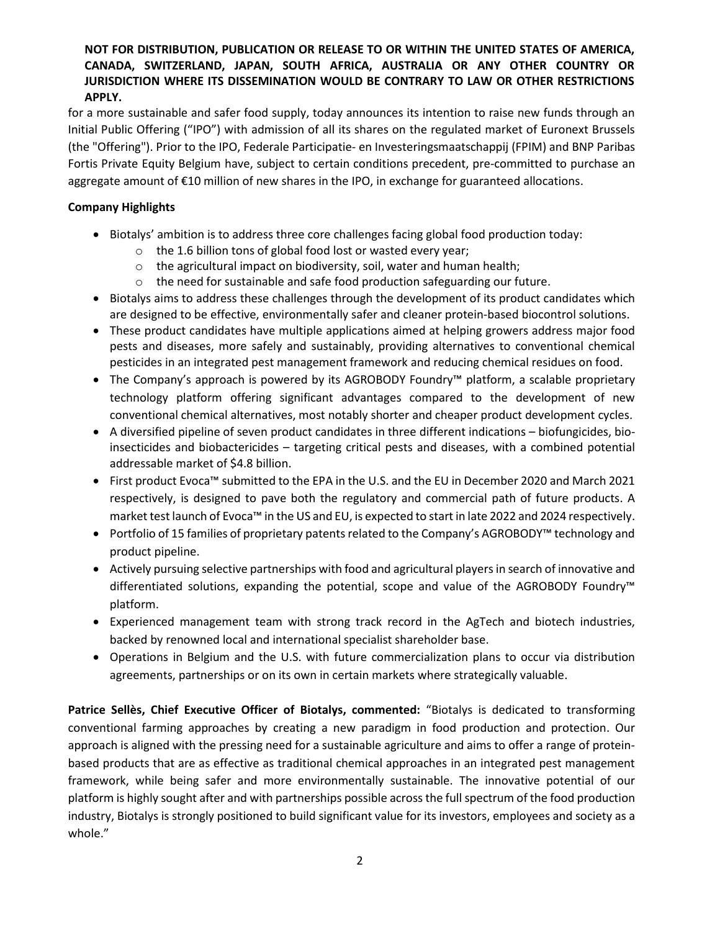for a more sustainable and safer food supply, today announces its intention to raise new funds through an Initial Public Offering ("IPO") with admission of all its shares on the regulated market of Euronext Brussels (the "Offering"). Prior to the IPO, Federale Participatie- en Investeringsmaatschappij (FPIM) and BNP Paribas Fortis Private Equity Belgium have, subject to certain conditions precedent, pre-committed to purchase an aggregate amount of €10 million of new shares in the IPO, in exchange for guaranteed allocations.

# **Company Highlights**

- Biotalys' ambition is to address three core challenges facing global food production today:
	- o the 1.6 billion tons of global food lost or wasted every year;
	- o the agricultural impact on biodiversity, soil, water and human health;
	- o the need for sustainable and safe food production safeguarding our future.
- Biotalys aims to address these challenges through the development of its product candidates which are designed to be effective, environmentally safer and cleaner protein-based biocontrol solutions.
- These product candidates have multiple applications aimed at helping growers address major food pests and diseases, more safely and sustainably, providing alternatives to conventional chemical pesticides in an integrated pest management framework and reducing chemical residues on food.
- The Company's approach is powered by its AGROBODY Foundry™ platform, a scalable proprietary technology platform offering significant advantages compared to the development of new conventional chemical alternatives, most notably shorter and cheaper product development cycles.
- A diversified pipeline of seven product candidates in three different indications biofungicides, bioinsecticides and biobactericides – targeting critical pests and diseases, with a combined potential addressable market of \$4.8 billion.
- First product Evoca™ submitted to the EPA in the U.S. and the EU in December 2020 and March 2021 respectively, is designed to pave both the regulatory and commercial path of future products. A market test launch of Evoca™ in the US and EU, is expected to start in late 2022 and 2024 respectively.
- Portfolio of 15 families of proprietary patents related to the Company's AGROBODY™ technology and product pipeline.
- Actively pursuing selective partnerships with food and agricultural players in search of innovative and differentiated solutions, expanding the potential, scope and value of the AGROBODY Foundry™ platform.
- Experienced management team with strong track record in the AgTech and biotech industries, backed by renowned local and international specialist shareholder base.
- Operations in Belgium and the U.S. with future commercialization plans to occur via distribution agreements, partnerships or on its own in certain markets where strategically valuable.

**Patrice Sellès, Chief Executive Officer of Biotalys, commented:** "Biotalys is dedicated to transforming conventional farming approaches by creating a new paradigm in food production and protection. Our approach is aligned with the pressing need for a sustainable agriculture and aims to offer a range of proteinbased products that are as effective as traditional chemical approaches in an integrated pest management framework, while being safer and more environmentally sustainable. The innovative potential of our platform is highly sought after and with partnerships possible across the full spectrum of the food production industry, Biotalys is strongly positioned to build significant value for its investors, employees and society as a whole."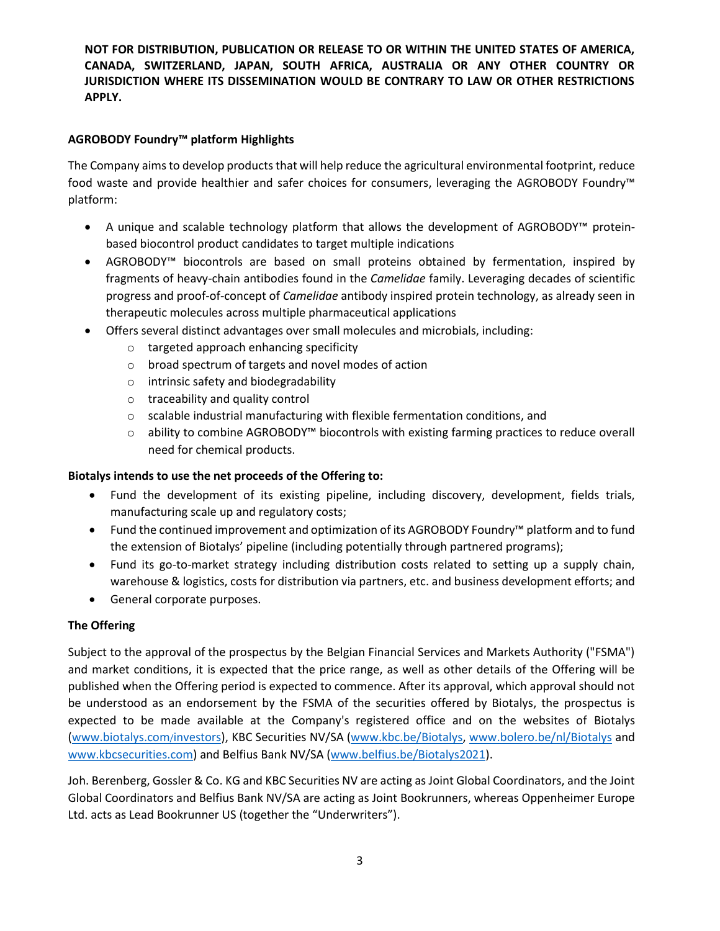# **AGROBODY Foundry™ platform Highlights**

The Company aims to develop products that will help reduce the agricultural environmental footprint, reduce food waste and provide healthier and safer choices for consumers, leveraging the AGROBODY Foundry™ platform:

- A unique and scalable technology platform that allows the development of AGROBODY™ proteinbased biocontrol product candidates to target multiple indications
- AGROBODY™ biocontrols are based on small proteins obtained by fermentation, inspired by fragments of heavy-chain antibodies found in the *Camelidae* family. Leveraging decades of scientific progress and proof-of-concept of *Camelidae* antibody inspired protein technology, as already seen in therapeutic molecules across multiple pharmaceutical applications
- Offers several distinct advantages over small molecules and microbials, including:
	- o targeted approach enhancing specificity
	- o broad spectrum of targets and novel modes of action
	- o intrinsic safety and biodegradability
	- o traceability and quality control
	- $\circ$  scalable industrial manufacturing with flexible fermentation conditions, and
	- o ability to combine AGROBODY™ biocontrols with existing farming practices to reduce overall need for chemical products.

# **Biotalys intends to use the net proceeds of the Offering to:**

- Fund the development of its existing pipeline, including discovery, development, fields trials, manufacturing scale up and regulatory costs;
- Fund the continued improvement and optimization of its AGROBODY Foundry™ platform and to fund the extension of Biotalys' pipeline (including potentially through partnered programs);
- Fund its go-to-market strategy including distribution costs related to setting up a supply chain, warehouse & logistics, costs for distribution via partners, etc. and business development efforts; and
- General corporate purposes.

# **The Offering**

Subject to the approval of the prospectus by the Belgian Financial Services and Markets Authority ("FSMA") and market conditions, it is expected that the price range, as well as other details of the Offering will be published when the Offering period is expected to commence. After its approval, which approval should not be understood as an endorsement by the FSMA of the securities offered by Biotalys, the prospectus is expected to be made available at the Company's registered office and on the websites of Biotalys [\(www.biotalys.com](http://www.biotalys.com/investors)/investors), KBC Securities NV/SA [\(www.kbc.be/Biotalys,](http://www.kbc.be/Biotalys) [www.bolero.be/nl/Biotalys](https://www.bolero.be/nl/Biotalys) and [www.kbcsecurities.com\)](http://www.kbcsecurities.com/) and Belfius Bank NV/SA [\(www.belfius.be/Biotalys2021\)](http://www.belfius.be/Biotalys2021).

Joh. Berenberg, Gossler & Co. KG and KBC Securities NV are acting as Joint Global Coordinators, and the Joint Global Coordinators and Belfius Bank NV/SA are acting as Joint Bookrunners, whereas Oppenheimer Europe Ltd. acts as Lead Bookrunner US (together the "Underwriters").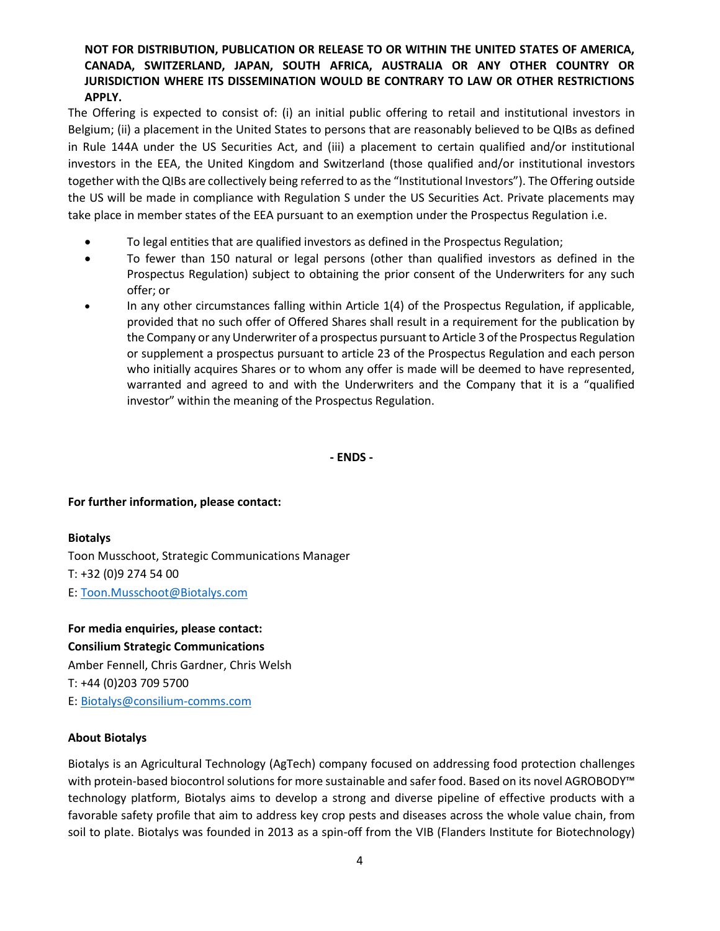The Offering is expected to consist of: (i) an initial public offering to retail and institutional investors in Belgium; (ii) a placement in the United States to persons that are reasonably believed to be QIBs as defined in Rule 144A under the US Securities Act, and (iii) a placement to certain qualified and/or institutional investors in the EEA, the United Kingdom and Switzerland (those qualified and/or institutional investors together with the QIBs are collectively being referred to as the "Institutional Investors"). The Offering outside the US will be made in compliance with Regulation S under the US Securities Act. Private placements may take place in member states of the EEA pursuant to an exemption under the Prospectus Regulation i.e.

- To legal entities that are qualified investors as defined in the Prospectus Regulation;
- To fewer than 150 natural or legal persons (other than qualified investors as defined in the Prospectus Regulation) subject to obtaining the prior consent of the Underwriters for any such offer; or
- In any other circumstances falling within Article 1(4) of the Prospectus Regulation, if applicable, provided that no such offer of Offered Shares shall result in a requirement for the publication by the Company or any Underwriter of a prospectus pursuant to Article 3 of the Prospectus Regulation or supplement a prospectus pursuant to article 23 of the Prospectus Regulation and each person who initially acquires Shares or to whom any offer is made will be deemed to have represented, warranted and agreed to and with the Underwriters and the Company that it is a "qualified investor" within the meaning of the Prospectus Regulation.

**- ENDS -**

### **For further information, please contact:**

### **Biotalys**

Toon Musschoot, Strategic Communications Manager T: +32 (0)9 274 54 00 E[: Toon.Musschoot@Biotalys.com](mailto:Toon.Musschoot@biotalys.com)

**For media enquiries, please contact: Consilium Strategic Communications** Amber Fennell, Chris Gardner, Chris Welsh T: +44 (0)203 709 5700 E[: Biotalys@consilium-comms.com](mailto:Biotalys@consilium-comms.com)

### **About Biotalys**

Biotalys is an Agricultural Technology (AgTech) company focused on addressing food protection challenges with protein-based biocontrol solutions for more sustainable and safer food. Based on its novel AGROBODY<sup>™</sup> technology platform, Biotalys aims to develop a strong and diverse pipeline of effective products with a favorable safety profile that aim to address key crop pests and diseases across the whole value chain, from soil to plate. Biotalys was founded in 2013 as a spin-off from the VIB (Flanders Institute for Biotechnology)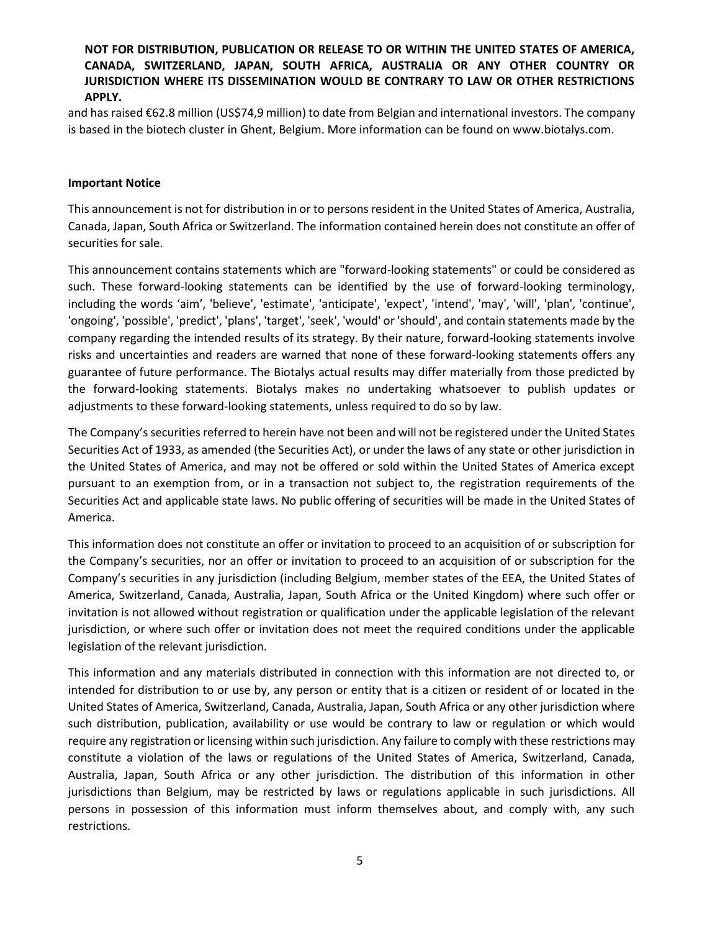and has raised €62.8 million (US\$74,9 million) to date from Belgian and international investors. The company is based in the biotech cluster in Ghent, Belgium. More information can be found on www.biotalys.com.

#### **Important Notice**

This announcement is not for distribution in or to persons resident in the United States of America, Australia, Canada, Japan, South Africa or Switzerland. The information contained herein does not constitute an offer of securities for sale.

This announcement contains statements which are "forward-looking statements" or could be considered as such. These forward-looking statements can be identified by the use of forward-looking terminology, including the words 'aim', 'believe', 'estimate', 'anticipate', 'expect', 'intend', 'may', 'will', 'plan', 'continue', 'ongoing', 'possible', 'predict', 'plans', 'target', 'seek', 'would' or 'should', and contain statements made by the company regarding the intended results of its strategy. By their nature, forward-looking statements involve risks and uncertainties and readers are warned that none of these forward-looking statements offers any guarantee of future performance. The Biotalys actual results may differ materially from those predicted by the forward-looking statements. Biotalys makes no undertaking whatsoever to publish updates or adjustments to these forward-looking statements, unless required to do so by law.

The Company's securities referred to herein have not been and will not be registered under the United States Securities Act of 1933, as amended (the Securities Act), or under the laws of any state or other jurisdiction in the United States of America, and may not be offered or sold within the United States of America except pursuant to an exemption from, or in a transaction not subject to, the registration requirements of the Securities Act and applicable state laws. No public offering of securities will be made in the United States of America.

This information does not constitute an offer or invitation to proceed to an acquisition of or subscription for the Company's securities, nor an offer or invitation to proceed to an acquisition of or subscription for the Company's securities in any jurisdiction (including Belgium, member states of the EEA, the United States of America, Switzerland, Canada, Australia, Japan, South Africa or the United Kingdom) where such offer or invitation is not allowed without registration or qualification under the applicable legislation of the relevant jurisdiction, or where such offer or invitation does not meet the required conditions under the applicable legislation of the relevant jurisdiction.

This information and any materials distributed in connection with this information are not directed to, or intended for distribution to or use by, any person or entity that is a citizen or resident of or located in the United States of America, Switzerland, Canada, Australia, Japan, South Africa or any other jurisdiction where such distribution, publication, availability or use would be contrary to law or regulation or which would require any registration or licensing within such jurisdiction. Any failure to comply with these restrictions may constitute a violation of the laws or regulations of the United States of America, Switzerland, Canada, Australia, Japan, South Africa or any other jurisdiction. The distribution of this information in other jurisdictions than Belgium, may be restricted by laws or regulations applicable in such jurisdictions. All persons in possession of this information must inform themselves about, and comply with, any such restrictions.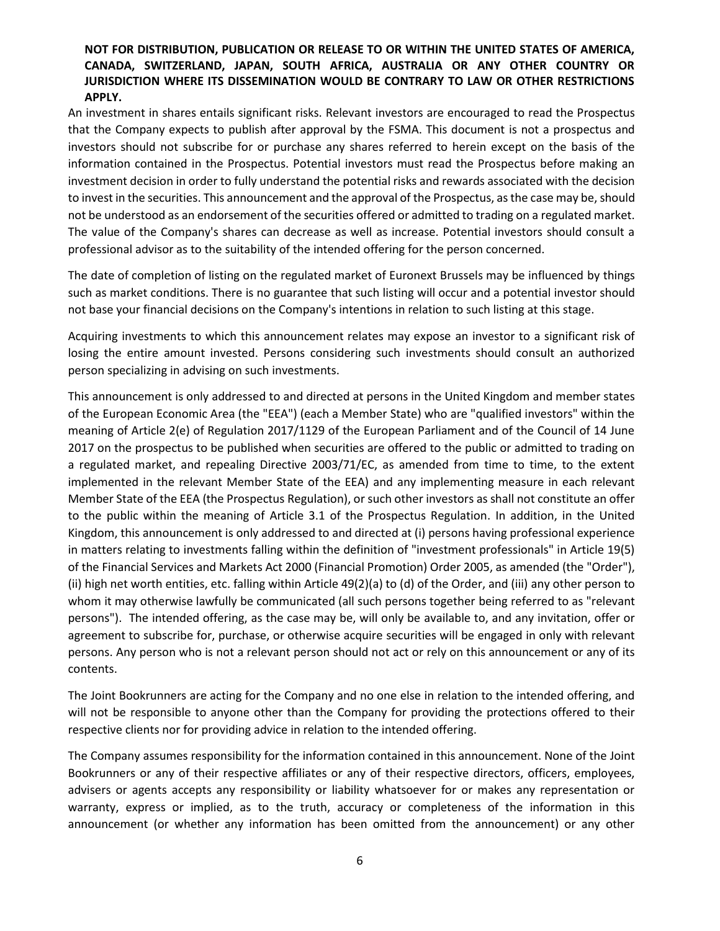An investment in shares entails significant risks. Relevant investors are encouraged to read the Prospectus that the Company expects to publish after approval by the FSMA. This document is not a prospectus and investors should not subscribe for or purchase any shares referred to herein except on the basis of the information contained in the Prospectus. Potential investors must read the Prospectus before making an investment decision in order to fully understand the potential risks and rewards associated with the decision to invest in the securities. This announcement and the approval of the Prospectus, as the case may be, should not be understood as an endorsement of the securities offered or admitted to trading on a regulated market. The value of the Company's shares can decrease as well as increase. Potential investors should consult a professional advisor as to the suitability of the intended offering for the person concerned.

The date of completion of listing on the regulated market of Euronext Brussels may be influenced by things such as market conditions. There is no guarantee that such listing will occur and a potential investor should not base your financial decisions on the Company's intentions in relation to such listing at this stage.

Acquiring investments to which this announcement relates may expose an investor to a significant risk of losing the entire amount invested. Persons considering such investments should consult an authorized person specializing in advising on such investments.

This announcement is only addressed to and directed at persons in the United Kingdom and member states of the European Economic Area (the "EEA") (each a Member State) who are "qualified investors" within the meaning of Article 2(e) of Regulation 2017/1129 of the European Parliament and of the Council of 14 June 2017 on the prospectus to be published when securities are offered to the public or admitted to trading on a regulated market, and repealing Directive 2003/71/EC, as amended from time to time, to the extent implemented in the relevant Member State of the EEA) and any implementing measure in each relevant Member State of the EEA (the Prospectus Regulation), or such other investors as shall not constitute an offer to the public within the meaning of Article 3.1 of the Prospectus Regulation. In addition, in the United Kingdom, this announcement is only addressed to and directed at (i) persons having professional experience in matters relating to investments falling within the definition of "investment professionals" in Article 19(5) of the Financial Services and Markets Act 2000 (Financial Promotion) Order 2005, as amended (the "Order"), (ii) high net worth entities, etc. falling within Article 49(2)(a) to (d) of the Order, and (iii) any other person to whom it may otherwise lawfully be communicated (all such persons together being referred to as "relevant persons"). The intended offering, as the case may be, will only be available to, and any invitation, offer or agreement to subscribe for, purchase, or otherwise acquire securities will be engaged in only with relevant persons. Any person who is not a relevant person should not act or rely on this announcement or any of its contents.

The Joint Bookrunners are acting for the Company and no one else in relation to the intended offering, and will not be responsible to anyone other than the Company for providing the protections offered to their respective clients nor for providing advice in relation to the intended offering.

The Company assumes responsibility for the information contained in this announcement. None of the Joint Bookrunners or any of their respective affiliates or any of their respective directors, officers, employees, advisers or agents accepts any responsibility or liability whatsoever for or makes any representation or warranty, express or implied, as to the truth, accuracy or completeness of the information in this announcement (or whether any information has been omitted from the announcement) or any other